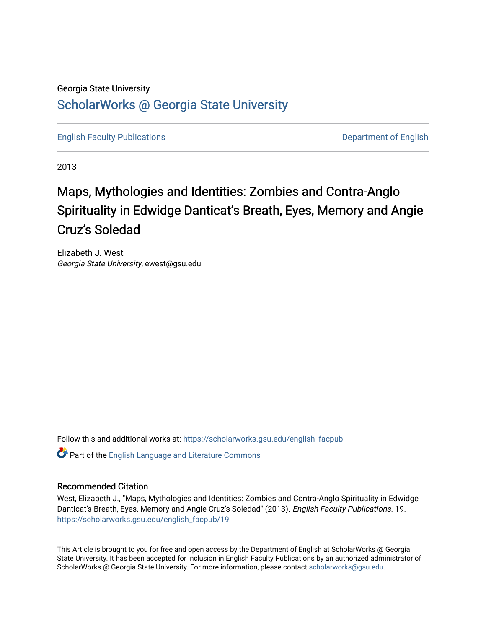# Georgia State University [ScholarWorks @ Georgia State University](https://scholarworks.gsu.edu/)

[English Faculty Publications](https://scholarworks.gsu.edu/english_facpub) **Department of English** 

2013

# Maps, Mythologies and Identities: Zombies and Contra-Anglo Spirituality in Edwidge Danticat's Breath, Eyes, Memory and Angie Cruz's Soledad

Elizabeth J. West Georgia State University, ewest@gsu.edu

Follow this and additional works at: [https://scholarworks.gsu.edu/english\\_facpub](https://scholarworks.gsu.edu/english_facpub?utm_source=scholarworks.gsu.edu%2Fenglish_facpub%2F19&utm_medium=PDF&utm_campaign=PDFCoverPages)

Part of the [English Language and Literature Commons](http://network.bepress.com/hgg/discipline/455?utm_source=scholarworks.gsu.edu%2Fenglish_facpub%2F19&utm_medium=PDF&utm_campaign=PDFCoverPages)

## Recommended Citation

West, Elizabeth J., "Maps, Mythologies and Identities: Zombies and Contra-Anglo Spirituality in Edwidge Danticat's Breath, Eyes, Memory and Angie Cruz's Soledad" (2013). English Faculty Publications. 19. [https://scholarworks.gsu.edu/english\\_facpub/19](https://scholarworks.gsu.edu/english_facpub/19?utm_source=scholarworks.gsu.edu%2Fenglish_facpub%2F19&utm_medium=PDF&utm_campaign=PDFCoverPages) 

This Article is brought to you for free and open access by the Department of English at ScholarWorks @ Georgia State University. It has been accepted for inclusion in English Faculty Publications by an authorized administrator of ScholarWorks @ Georgia State University. For more information, please contact [scholarworks@gsu.edu](mailto:scholarworks@gsu.edu).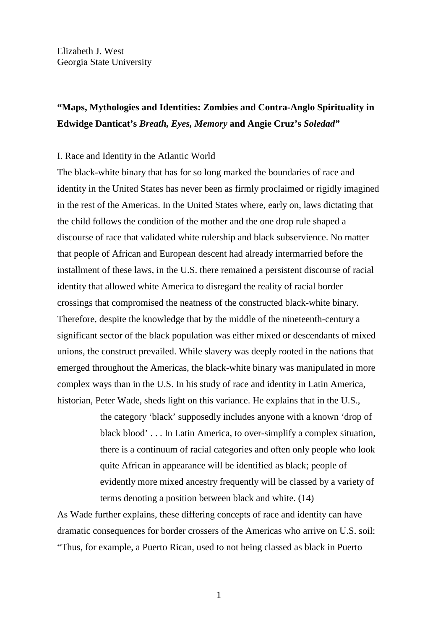Elizabeth J. West Georgia State University

## **"Maps, Mythologies and Identities: Zombies and Contra-Anglo Spirituality in Edwidge Danticat's** *Breath, Eyes, Memory* **and Angie Cruz's** *Soledad"*

#### I. Race and Identity in the Atlantic World

The black-white binary that has for so long marked the boundaries of race and identity in the United States has never been as firmly proclaimed or rigidly imagined in the rest of the Americas. In the United States where, early on, laws dictating that the child follows the condition of the mother and the one drop rule shaped a discourse of race that validated white rulership and black subservience. No matter that people of African and European descent had already intermarried before the installment of these laws, in the U.S. there remained a persistent discourse of racial identity that allowed white America to disregard the reality of racial border crossings that compromised the neatness of the constructed black-white binary. Therefore, despite the knowledge that by the middle of the nineteenth-century a significant sector of the black population was either mixed or descendants of mixed unions, the construct prevailed. While slavery was deeply rooted in the nations that emerged throughout the Americas, the black-white binary was manipulated in more complex ways than in the U.S. In his study of race and identity in Latin America, historian, Peter Wade, sheds light on this variance. He explains that in the U.S.,

> the category 'black' supposedly includes anyone with a known 'drop of black blood' . . . In Latin America, to over-simplify a complex situation, there is a continuum of racial categories and often only people who look quite African in appearance will be identified as black; people of evidently more mixed ancestry frequently will be classed by a variety of terms denoting a position between black and white. (14)

As Wade further explains, these differing concepts of race and identity can have dramatic consequences for border crossers of the Americas who arrive on U.S. soil: "Thus, for example, a Puerto Rican, used to not being classed as black in Puerto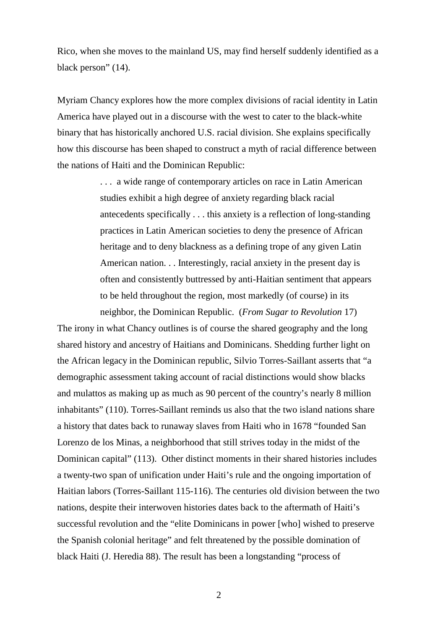Rico, when she moves to the mainland US, may find herself suddenly identified as a black person" (14).

Myriam Chancy explores how the more complex divisions of racial identity in Latin America have played out in a discourse with the west to cater to the black-white binary that has historically anchored U.S. racial division. She explains specifically how this discourse has been shaped to construct a myth of racial difference between the nations of Haiti and the Dominican Republic:

> . . . a wide range of contemporary articles on race in Latin American studies exhibit a high degree of anxiety regarding black racial antecedents specifically . . . this anxiety is a reflection of long-standing practices in Latin American societies to deny the presence of African heritage and to deny blackness as a defining trope of any given Latin American nation. . . Interestingly, racial anxiety in the present day is often and consistently buttressed by anti-Haitian sentiment that appears to be held throughout the region, most markedly (of course) in its neighbor, the Dominican Republic. (*From Sugar to Revolution* 17)

The irony in what Chancy outlines is of course the shared geography and the long shared history and ancestry of Haitians and Dominicans. Shedding further light on the African legacy in the Dominican republic, Silvio Torres-Saillant asserts that "a demographic assessment taking account of racial distinctions would show blacks and mulattos as making up as much as 90 percent of the country's nearly 8 million inhabitants" (110). Torres-Saillant reminds us also that the two island nations share a history that dates back to runaway slaves from Haiti who in 1678 "founded San Lorenzo de los Minas, a neighborhood that still strives today in the midst of the Dominican capital" (113). Other distinct moments in their shared histories includes a twenty-two span of unification under Haiti's rule and the ongoing importation of Haitian labors (Torres-Saillant 115-116). The centuries old division between the two nations, despite their interwoven histories dates back to the aftermath of Haiti's successful revolution and the "elite Dominicans in power [who] wished to preserve the Spanish colonial heritage" and felt threatened by the possible domination of black Haiti (J. Heredia 88). The result has been a longstanding "process of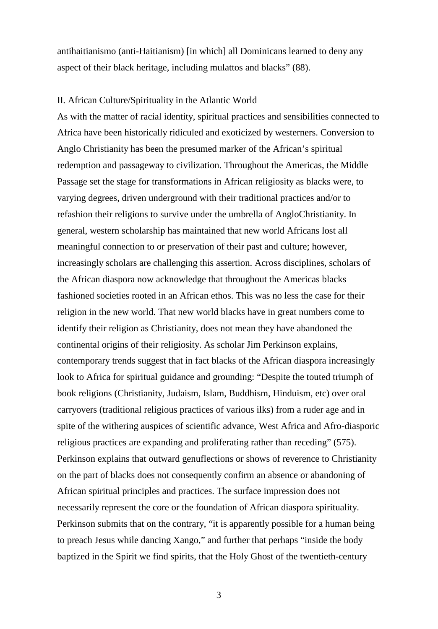antihaitianismo (anti-Haitianism) [in which] all Dominicans learned to deny any aspect of their black heritage, including mulattos and blacks" (88).

#### II. African Culture/Spirituality in the Atlantic World

As with the matter of racial identity, spiritual practices and sensibilities connected to Africa have been historically ridiculed and exoticized by westerners. Conversion to Anglo Christianity has been the presumed marker of the African's spiritual redemption and passageway to civilization. Throughout the Americas, the Middle Passage set the stage for transformations in African religiosity as blacks were, to varying degrees, driven underground with their traditional practices and/or to refashion their religions to survive under the umbrella of AngloChristianity. In general, western scholarship has maintained that new world Africans lost all meaningful connection to or preservation of their past and culture; however, increasingly scholars are challenging this assertion. Across disciplines, scholars of the African diaspora now acknowledge that throughout the Americas blacks fashioned societies rooted in an African ethos. This was no less the case for their religion in the new world. That new world blacks have in great numbers come to identify their religion as Christianity, does not mean they have abandoned the continental origins of their religiosity. As scholar Jim Perkinson explains, contemporary trends suggest that in fact blacks of the African diaspora increasingly look to Africa for spiritual guidance and grounding: "Despite the touted triumph of book religions (Christianity, Judaism, Islam, Buddhism, Hinduism, etc) over oral carryovers (traditional religious practices of various ilks) from a ruder age and in spite of the withering auspices of scientific advance, West Africa and Afro-diasporic religious practices are expanding and proliferating rather than receding" (575). Perkinson explains that outward genuflections or shows of reverence to Christianity on the part of blacks does not consequently confirm an absence or abandoning of African spiritual principles and practices. The surface impression does not necessarily represent the core or the foundation of African diaspora spirituality. Perkinson submits that on the contrary, "it is apparently possible for a human being to preach Jesus while dancing Xango," and further that perhaps "inside the body baptized in the Spirit we find spirits, that the Holy Ghost of the twentieth-century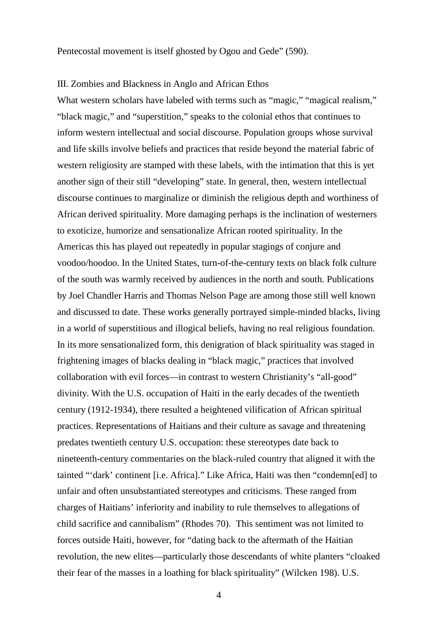#### III. Zombies and Blackness in Anglo and African Ethos

What western scholars have labeled with terms such as "magic," "magical realism," "black magic," and "superstition," speaks to the colonial ethos that continues to inform western intellectual and social discourse. Population groups whose survival and life skills involve beliefs and practices that reside beyond the material fabric of western religiosity are stamped with these labels, with the intimation that this is yet another sign of their still "developing" state. In general, then, western intellectual discourse continues to marginalize or diminish the religious depth and worthiness of African derived spirituality. More damaging perhaps is the inclination of westerners to exoticize, humorize and sensationalize African rooted spirituality. In the Americas this has played out repeatedly in popular stagings of conjure and voodoo/hoodoo. In the United States, turn-of-the-century texts on black folk culture of the south was warmly received by audiences in the north and south. Publications by Joel Chandler Harris and Thomas Nelson Page are among those still well known and discussed to date. These works generally portrayed simple-minded blacks, living in a world of superstitious and illogical beliefs, having no real religious foundation. In its more sensationalized form, this denigration of black spirituality was staged in frightening images of blacks dealing in "black magic," practices that involved collaboration with evil forces—in contrast to western Christianity's "all-good" divinity. With the U.S. occupation of Haiti in the early decades of the twentieth century (1912-1934), there resulted a heightened vilification of African spiritual practices. Representations of Haitians and their culture as savage and threatening predates twentieth century U.S. occupation: these stereotypes date back to nineteenth-century commentaries on the black-ruled country that aligned it with the tainted "'dark' continent [i.e. Africa]." Like Africa, Haiti was then "condemn[ed] to unfair and often unsubstantiated stereotypes and criticisms. These ranged from charges of Haitians' inferiority and inability to rule themselves to allegations of child sacrifice and cannibalism" (Rhodes 70). This sentiment was not limited to forces outside Haiti, however, for "dating back to the aftermath of the Haitian revolution, the new elites—particularly those descendants of white planters "cloaked their fear of the masses in a loathing for black spirituality" (Wilcken 198). U.S.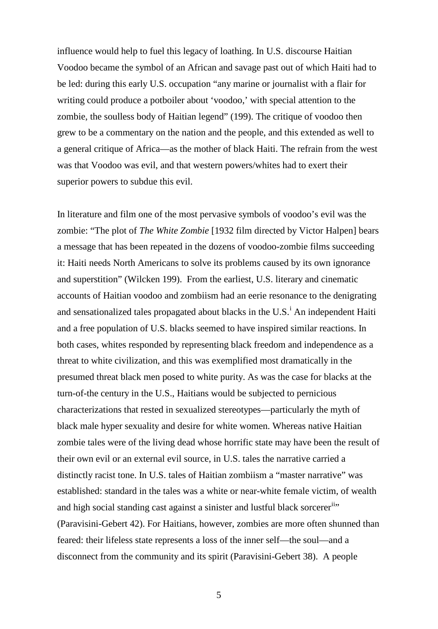influence would help to fuel this legacy of loathing. In U.S. discourse Haitian Voodoo became the symbol of an African and savage past out of which Haiti had to be led: during this early U.S. occupation "any marine or journalist with a flair for writing could produce a potboiler about 'voodoo,' with special attention to the zombie, the soulless body of Haitian legend" (199). The critique of voodoo then grew to be a commentary on the nation and the people, and this extended as well to a general critique of Africa—as the mother of black Haiti. The refrain from the west was that Voodoo was evil, and that western powers/whites had to exert their superior powers to subdue this evil.

In literature and film one of the most pervasive symbols of voodoo's evil was the zombie: "The plot of *The White Zombie* [1932 film directed by Victor Halpen] bears a message that has been repeated in the dozens of voodoo-zombie films succeeding it: Haiti needs North Americans to solve its problems caused by its own ignorance and superstition" (Wilcken 199). From the earliest, U.S. literary and cinematic accounts of Haitian voodoo and zombiism had an eerie resonance to the denigrating and sensat[i](#page-21-0)onalized tales propagated about blacks in the U.S.<sup>i</sup> An independent Haiti and a free population of U.S. blacks seemed to have inspired similar reactions. In both cases, whites responded by representing black freedom and independence as a threat to white civilization, and this was exemplified most dramatically in the presumed threat black men posed to white purity. As was the case for blacks at the turn-of-the century in the U.S., Haitians would be subjected to pernicious characterizations that rested in sexualized stereotypes—particularly the myth of black male hyper sexuality and desire for white women. Whereas native Haitian zombie tales were of the living dead whose horrific state may have been the result of their own evil or an external evil source, in U.S. tales the narrative carried a distinctly racist tone. In U.S. tales of Haitian zombiism a "master narrative" was established: standard in the tales was a white or near-white female victim, of wealth and high social standing cast against a sinister and lustful black sorcerer<sup>ii</sup><sup>1</sup> (Paravisini-Gebert 42). For Haitians, however, zombies are more often shunned than feared: their lifeless state represents a loss of the inner self—the soul—and a disconnect from the community and its spirit (Paravisini-Gebert 38). A people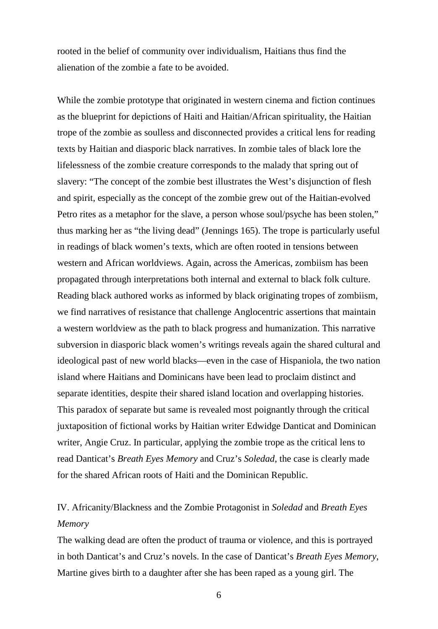rooted in the belief of community over individualism, Haitians thus find the alienation of the zombie a fate to be avoided.

While the zombie prototype that originated in western cinema and fiction continues as the blueprint for depictions of Haiti and Haitian/African spirituality, the Haitian trope of the zombie as soulless and disconnected provides a critical lens for reading texts by Haitian and diasporic black narratives. In zombie tales of black lore the lifelessness of the zombie creature corresponds to the malady that spring out of slavery: "The concept of the zombie best illustrates the West's disjunction of flesh and spirit, especially as the concept of the zombie grew out of the Haitian-evolved Petro rites as a metaphor for the slave, a person whose soul/psyche has been stolen," thus marking her as "the living dead" (Jennings 165). The trope is particularly useful in readings of black women's texts, which are often rooted in tensions between western and African worldviews. Again, across the Americas, zombiism has been propagated through interpretations both internal and external to black folk culture. Reading black authored works as informed by black originating tropes of zombiism, we find narratives of resistance that challenge Anglocentric assertions that maintain a western worldview as the path to black progress and humanization. This narrative subversion in diasporic black women's writings reveals again the shared cultural and ideological past of new world blacks—even in the case of Hispaniola, the two nation island where Haitians and Dominicans have been lead to proclaim distinct and separate identities, despite their shared island location and overlapping histories. This paradox of separate but same is revealed most poignantly through the critical juxtaposition of fictional works by Haitian writer Edwidge Danticat and Dominican writer, Angie Cruz. In particular, applying the zombie trope as the critical lens to read Danticat's *Breath Eyes Memory* and Cruz's *Soledad*, the case is clearly made for the shared African roots of Haiti and the Dominican Republic.

## IV. Africanity/Blackness and the Zombie Protagonist in *Soledad* and *Breath Eyes Memory*

The walking dead are often the product of trauma or violence, and this is portrayed in both Danticat's and Cruz's novels. In the case of Danticat's *Breath Eyes Memory*, Martine gives birth to a daughter after she has been raped as a young girl. The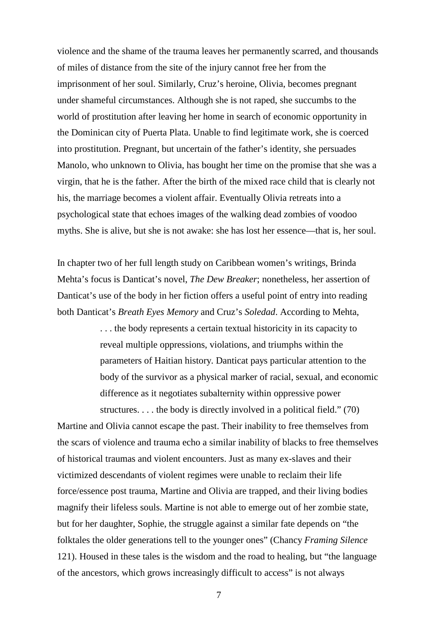violence and the shame of the trauma leaves her permanently scarred, and thousands of miles of distance from the site of the injury cannot free her from the imprisonment of her soul. Similarly, Cruz's heroine, Olivia, becomes pregnant under shameful circumstances. Although she is not raped, she succumbs to the world of prostitution after leaving her home in search of economic opportunity in the Dominican city of Puerta Plata. Unable to find legitimate work, she is coerced into prostitution. Pregnant, but uncertain of the father's identity, she persuades Manolo, who unknown to Olivia, has bought her time on the promise that she was a virgin, that he is the father. After the birth of the mixed race child that is clearly not his, the marriage becomes a violent affair. Eventually Olivia retreats into a psychological state that echoes images of the walking dead zombies of voodoo myths. She is alive, but she is not awake: she has lost her essence—that is, her soul.

In chapter two of her full length study on Caribbean women's writings, Brinda Mehta's focus is Danticat's novel, *The Dew Breaker*; nonetheless, her assertion of Danticat's use of the body in her fiction offers a useful point of entry into reading both Danticat's *Breath Eyes Memory* and Cruz's *Soledad*. According to Mehta,

> . . . the body represents a certain textual historicity in its capacity to reveal multiple oppressions, violations, and triumphs within the parameters of Haitian history. Danticat pays particular attention to the body of the survivor as a physical marker of racial, sexual, and economic difference as it negotiates subalternity within oppressive power structures. . . . the body is directly involved in a political field." (70)

Martine and Olivia cannot escape the past. Their inability to free themselves from the scars of violence and trauma echo a similar inability of blacks to free themselves of historical traumas and violent encounters. Just as many ex-slaves and their victimized descendants of violent regimes were unable to reclaim their life force/essence post trauma, Martine and Olivia are trapped, and their living bodies magnify their lifeless souls. Martine is not able to emerge out of her zombie state, but for her daughter, Sophie, the struggle against a similar fate depends on "the folktales the older generations tell to the younger ones" (Chancy *Framing Silence* 121). Housed in these tales is the wisdom and the road to healing, but "the language of the ancestors, which grows increasingly difficult to access" is not always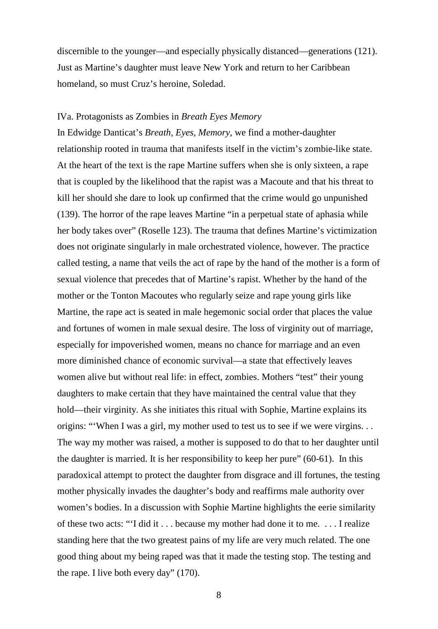discernible to the younger—and especially physically distanced—generations (121). Just as Martine's daughter must leave New York and return to her Caribbean homeland, so must Cruz's heroine, Soledad.

#### IVa. Protagonists as Zombies in *Breath Eyes Memory*

In Edwidge Danticat's *Breath, Eyes, Memory*, we find a mother-daughter relationship rooted in trauma that manifests itself in the victim's zombie-like state. At the heart of the text is the rape Martine suffers when she is only sixteen, a rape that is coupled by the likelihood that the rapist was a Macoute and that his threat to kill her should she dare to look up confirmed that the crime would go unpunished (139). The horror of the rape leaves Martine "in a perpetual state of aphasia while her body takes over" (Roselle 123). The trauma that defines Martine's victimization does not originate singularly in male orchestrated violence, however. The practice called testing, a name that veils the act of rape by the hand of the mother is a form of sexual violence that precedes that of Martine's rapist. Whether by the hand of the mother or the Tonton Macoutes who regularly seize and rape young girls like Martine, the rape act is seated in male hegemonic social order that places the value and fortunes of women in male sexual desire. The loss of virginity out of marriage, especially for impoverished women, means no chance for marriage and an even more diminished chance of economic survival—a state that effectively leaves women alive but without real life: in effect, zombies. Mothers "test" their young daughters to make certain that they have maintained the central value that they hold—their virginity. As she initiates this ritual with Sophie, Martine explains its origins: "'When I was a girl, my mother used to test us to see if we were virgins. . . The way my mother was raised, a mother is supposed to do that to her daughter until the daughter is married. It is her responsibility to keep her pure" (60-61). In this paradoxical attempt to protect the daughter from disgrace and ill fortunes, the testing mother physically invades the daughter's body and reaffirms male authority over women's bodies. In a discussion with Sophie Martine highlights the eerie similarity of these two acts: "'I did it . . . because my mother had done it to me. . . . I realize standing here that the two greatest pains of my life are very much related. The one good thing about my being raped was that it made the testing stop. The testing and the rape. I live both every day" (170).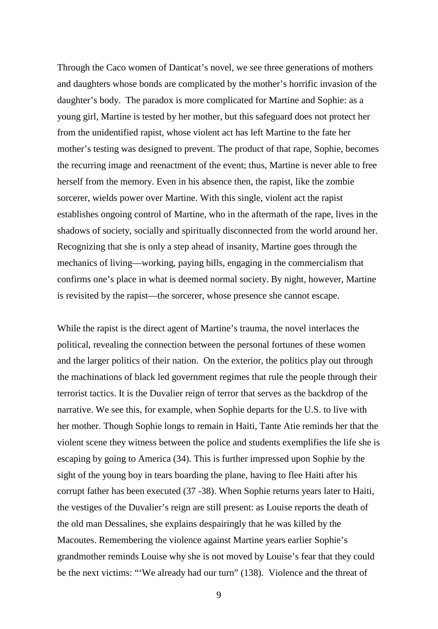Through the Caco women of Danticat's novel, we see three generations of mothers and daughters whose bonds are complicated by the mother's horrific invasion of the daughter's body. The paradox is more complicated for Martine and Sophie: as a young girl, Martine is tested by her mother, but this safeguard does not protect her from the unidentified rapist, whose violent act has left Martine to the fate her mother's testing was designed to prevent. The product of that rape, Sophie, becomes the recurring image and reenactment of the event; thus, Martine is never able to free herself from the memory. Even in his absence then, the rapist, like the zombie sorcerer, wields power over Martine. With this single, violent act the rapist establishes ongoing control of Martine, who in the aftermath of the rape, lives in the shadows of society, socially and spiritually disconnected from the world around her. Recognizing that she is only a step ahead of insanity, Martine goes through the mechanics of living—working, paying bills, engaging in the commercialism that confirms one's place in what is deemed normal society. By night, however, Martine is revisited by the rapist—the sorcerer, whose presence she cannot escape.

While the rapist is the direct agent of Martine's trauma, the novel interlaces the political, revealing the connection between the personal fortunes of these women and the larger politics of their nation. On the exterior, the politics play out through the machinations of black led government regimes that rule the people through their terrorist tactics. It is the Duvalier reign of terror that serves as the backdrop of the narrative. We see this, for example, when Sophie departs for the U.S. to live with her mother. Though Sophie longs to remain in Haiti, Tante Atie reminds her that the violent scene they witness between the police and students exemplifies the life she is escaping by going to America (34). This is further impressed upon Sophie by the sight of the young boy in tears boarding the plane, having to flee Haiti after his corrupt father has been executed (37 -38). When Sophie returns years later to Haiti, the vestiges of the Duvalier's reign are still present: as Louise reports the death of the old man Dessalines, she explains despairingly that he was killed by the Macoutes. Remembering the violence against Martine years earlier Sophie's grandmother reminds Louise why she is not moved by Louise's fear that they could be the next victims: "'We already had our turn" (138). Violence and the threat of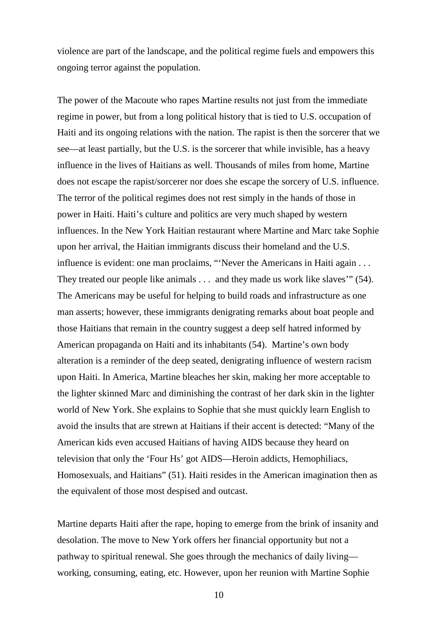violence are part of the landscape, and the political regime fuels and empowers this ongoing terror against the population.

The power of the Macoute who rapes Martine results not just from the immediate regime in power, but from a long political history that is tied to U.S. occupation of Haiti and its ongoing relations with the nation. The rapist is then the sorcerer that we see—at least partially, but the U.S. is the sorcerer that while invisible, has a heavy influence in the lives of Haitians as well. Thousands of miles from home, Martine does not escape the rapist/sorcerer nor does she escape the sorcery of U.S. influence. The terror of the political regimes does not rest simply in the hands of those in power in Haiti. Haiti's culture and politics are very much shaped by western influences. In the New York Haitian restaurant where Martine and Marc take Sophie upon her arrival, the Haitian immigrants discuss their homeland and the U.S. influence is evident: one man proclaims, "'Never the Americans in Haiti again . . . They treated our people like animals . . . and they made us work like slaves'" (54). The Americans may be useful for helping to build roads and infrastructure as one man asserts; however, these immigrants denigrating remarks about boat people and those Haitians that remain in the country suggest a deep self hatred informed by American propaganda on Haiti and its inhabitants (54). Martine's own body alteration is a reminder of the deep seated, denigrating influence of western racism upon Haiti. In America, Martine bleaches her skin, making her more acceptable to the lighter skinned Marc and diminishing the contrast of her dark skin in the lighter world of New York. She explains to Sophie that she must quickly learn English to avoid the insults that are strewn at Haitians if their accent is detected: "Many of the American kids even accused Haitians of having AIDS because they heard on television that only the 'Four Hs' got AIDS—Heroin addicts, Hemophiliacs, Homosexuals, and Haitians" (51). Haiti resides in the American imagination then as the equivalent of those most despised and outcast.

Martine departs Haiti after the rape, hoping to emerge from the brink of insanity and desolation. The move to New York offers her financial opportunity but not a pathway to spiritual renewal. She goes through the mechanics of daily living working, consuming, eating, etc. However, upon her reunion with Martine Sophie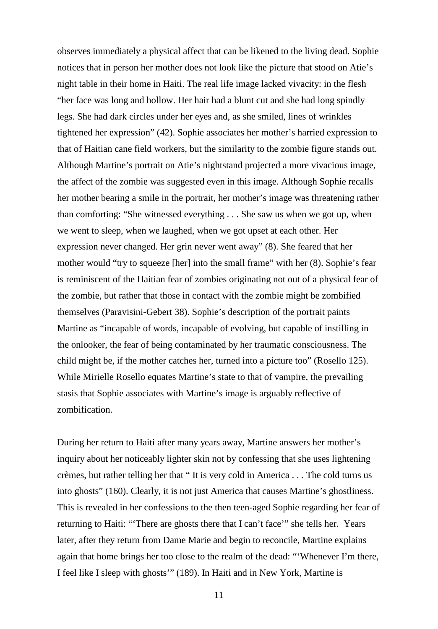observes immediately a physical affect that can be likened to the living dead. Sophie notices that in person her mother does not look like the picture that stood on Atie's night table in their home in Haiti. The real life image lacked vivacity: in the flesh "her face was long and hollow. Her hair had a blunt cut and she had long spindly legs. She had dark circles under her eyes and, as she smiled, lines of wrinkles tightened her expression" (42). Sophie associates her mother's harried expression to that of Haitian cane field workers, but the similarity to the zombie figure stands out. Although Martine's portrait on Atie's nightstand projected a more vivacious image, the affect of the zombie was suggested even in this image. Although Sophie recalls her mother bearing a smile in the portrait, her mother's image was threatening rather than comforting: "She witnessed everything . . . She saw us when we got up, when we went to sleep, when we laughed, when we got upset at each other. Her expression never changed. Her grin never went away" (8). She feared that her mother would "try to squeeze [her] into the small frame" with her (8). Sophie's fear is reminiscent of the Haitian fear of zombies originating not out of a physical fear of the zombie, but rather that those in contact with the zombie might be zombified themselves (Paravisini-Gebert 38). Sophie's description of the portrait paints Martine as "incapable of words, incapable of evolving, but capable of instilling in the onlooker, the fear of being contaminated by her traumatic consciousness. The child might be, if the mother catches her, turned into a picture too" (Rosello 125). While Mirielle Rosello equates Martine's state to that of vampire, the prevailing stasis that Sophie associates with Martine's image is arguably reflective of zombification.

During her return to Haiti after many years away, Martine answers her mother's inquiry about her noticeably lighter skin not by confessing that she uses lightening crèmes, but rather telling her that " It is very cold in America . . . The cold turns us into ghosts" (160). Clearly, it is not just America that causes Martine's ghostliness. This is revealed in her confessions to the then teen-aged Sophie regarding her fear of returning to Haiti: "'There are ghosts there that I can't face'" she tells her. Years later, after they return from Dame Marie and begin to reconcile, Martine explains again that home brings her too close to the realm of the dead: "'Whenever I'm there, I feel like I sleep with ghosts'" (189). In Haiti and in New York, Martine is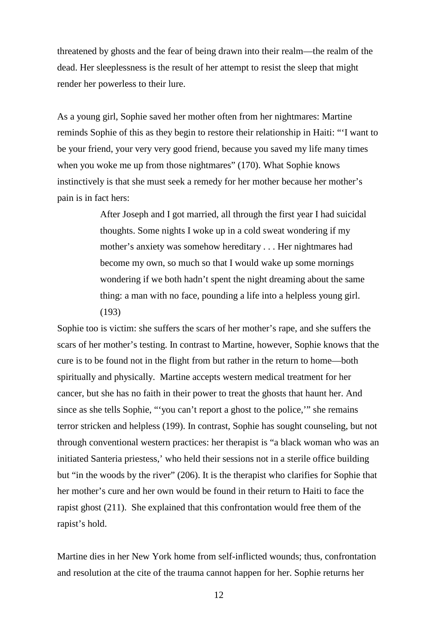threatened by ghosts and the fear of being drawn into their realm—the realm of the dead. Her sleeplessness is the result of her attempt to resist the sleep that might render her powerless to their lure.

As a young girl, Sophie saved her mother often from her nightmares: Martine reminds Sophie of this as they begin to restore their relationship in Haiti: "'I want to be your friend, your very very good friend, because you saved my life many times when you woke me up from those nightmares" (170). What Sophie knows instinctively is that she must seek a remedy for her mother because her mother's pain is in fact hers:

> After Joseph and I got married, all through the first year I had suicidal thoughts. Some nights I woke up in a cold sweat wondering if my mother's anxiety was somehow hereditary . . . Her nightmares had become my own, so much so that I would wake up some mornings wondering if we both hadn't spent the night dreaming about the same thing: a man with no face, pounding a life into a helpless young girl. (193)

Sophie too is victim: she suffers the scars of her mother's rape, and she suffers the scars of her mother's testing. In contrast to Martine, however, Sophie knows that the cure is to be found not in the flight from but rather in the return to home—both spiritually and physically. Martine accepts western medical treatment for her cancer, but she has no faith in their power to treat the ghosts that haunt her. And since as she tells Sophie, "'you can't report a ghost to the police,'" she remains terror stricken and helpless (199). In contrast, Sophie has sought counseling, but not through conventional western practices: her therapist is "a black woman who was an initiated Santeria priestess,' who held their sessions not in a sterile office building but "in the woods by the river" (206). It is the therapist who clarifies for Sophie that her mother's cure and her own would be found in their return to Haiti to face the rapist ghost (211). She explained that this confrontation would free them of the rapist's hold.

Martine dies in her New York home from self-inflicted wounds; thus, confrontation and resolution at the cite of the trauma cannot happen for her. Sophie returns her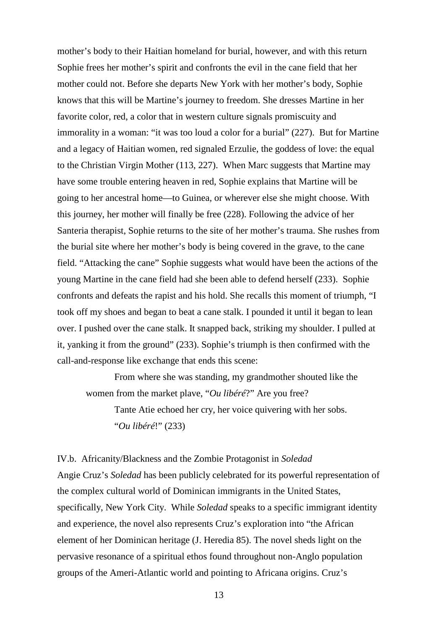mother's body to their Haitian homeland for burial, however, and with this return Sophie frees her mother's spirit and confronts the evil in the cane field that her mother could not. Before she departs New York with her mother's body, Sophie knows that this will be Martine's journey to freedom. She dresses Martine in her favorite color, red, a color that in western culture signals promiscuity and immorality in a woman: "it was too loud a color for a burial" (227). But for Martine and a legacy of Haitian women, red signaled Erzulie, the goddess of love: the equal to the Christian Virgin Mother (113, 227). When Marc suggests that Martine may have some trouble entering heaven in red, Sophie explains that Martine will be going to her ancestral home—to Guinea, or wherever else she might choose. With this journey, her mother will finally be free (228). Following the advice of her Santeria therapist, Sophie returns to the site of her mother's trauma. She rushes from the burial site where her mother's body is being covered in the grave, to the cane field. "Attacking the cane" Sophie suggests what would have been the actions of the young Martine in the cane field had she been able to defend herself (233). Sophie confronts and defeats the rapist and his hold. She recalls this moment of triumph, "I took off my shoes and began to beat a cane stalk. I pounded it until it began to lean over. I pushed over the cane stalk. It snapped back, striking my shoulder. I pulled at it, yanking it from the ground" (233). Sophie's triumph is then confirmed with the call-and-response like exchange that ends this scene:

From where she was standing, my grandmother shouted like the women from the market plave, "*Ou libéré*?" Are you free?

Tante Atie echoed her cry, her voice quivering with her sobs. "*Ou libéré*!" (233)

IV.b. Africanity/Blackness and the Zombie Protagonist in *Soledad*

Angie Cruz's *Soledad* has been publicly celebrated for its powerful representation of the complex cultural world of Dominican immigrants in the United States, specifically, New York City. While *Soledad* speaks to a specific immigrant identity and experience, the novel also represents Cruz's exploration into "the African element of her Dominican heritage (J. Heredia 85). The novel sheds light on the pervasive resonance of a spiritual ethos found throughout non-Anglo population groups of the Ameri-Atlantic world and pointing to Africana origins. Cruz's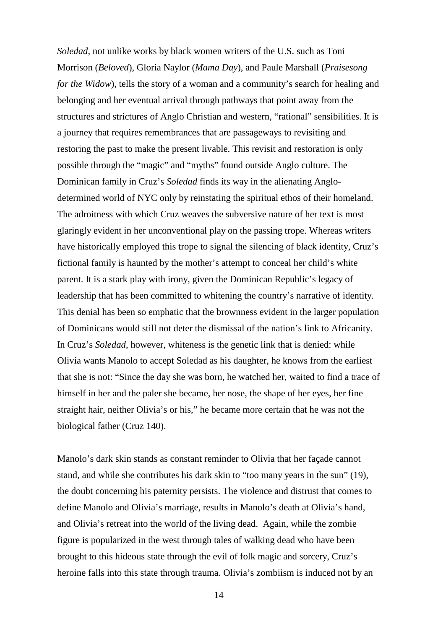*Soledad*, not unlike works by black women writers of the U.S. such as Toni Morrison (*Beloved*), Gloria Naylor (*Mama Day*), and Paule Marshall (*Praisesong for the Widow*), tells the story of a woman and a community's search for healing and belonging and her eventual arrival through pathways that point away from the structures and strictures of Anglo Christian and western, "rational" sensibilities. It is a journey that requires remembrances that are passageways to revisiting and restoring the past to make the present livable. This revisit and restoration is only possible through the "magic" and "myths" found outside Anglo culture. The Dominican family in Cruz's *Soledad* finds its way in the alienating Anglodetermined world of NYC only by reinstating the spiritual ethos of their homeland. The adroitness with which Cruz weaves the subversive nature of her text is most glaringly evident in her unconventional play on the passing trope. Whereas writers have historically employed this trope to signal the silencing of black identity, Cruz's fictional family is haunted by the mother's attempt to conceal her child's white parent. It is a stark play with irony, given the Dominican Republic's legacy of leadership that has been committed to whitening the country's narrative of identity. This denial has been so emphatic that the brownness evident in the larger population of Dominicans would still not deter the dismissal of the nation's link to Africanity. In Cruz's *Soledad*, however, whiteness is the genetic link that is denied: while Olivia wants Manolo to accept Soledad as his daughter, he knows from the earliest that she is not: "Since the day she was born, he watched her, waited to find a trace of himself in her and the paler she became, her nose, the shape of her eyes, her fine straight hair, neither Olivia's or his," he became more certain that he was not the biological father (Cruz 140).

Manolo's dark skin stands as constant reminder to Olivia that her façade cannot stand, and while she contributes his dark skin to "too many years in the sun" (19), the doubt concerning his paternity persists. The violence and distrust that comes to define Manolo and Olivia's marriage, results in Manolo's death at Olivia's hand, and Olivia's retreat into the world of the living dead. Again, while the zombie figure is popularized in the west through tales of walking dead who have been brought to this hideous state through the evil of folk magic and sorcery, Cruz's heroine falls into this state through trauma. Olivia's zombiism is induced not by an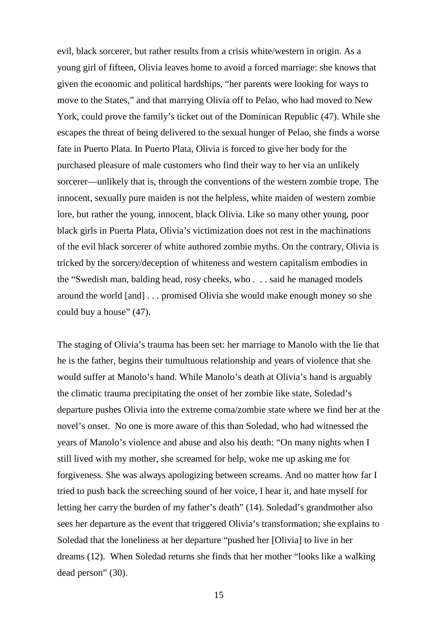evil, black sorcerer, but rather results from a crisis white/western in origin. As a young girl of fifteen, Olivia leaves home to avoid a forced marriage: she knows that given the economic and political hardships, "her parents were looking for ways to move to the States," and that marrying Olivia off to Pelao, who had moved to New York, could prove the family's ticket out of the Dominican Republic (47). While she escapes the threat of being delivered to the sexual hunger of Pelao, she finds a worse fate in Puerto Plata. In Puerto Plata, Olivia is forced to give her body for the purchased pleasure of male customers who find their way to her via an unlikely sorcerer—unlikely that is, through the conventions of the western zombie trope. The innocent, sexually pure maiden is not the helpless, white maiden of western zombie lore, but rather the young, innocent, black Olivia. Like so many other young, poor black girls in Puerta Plata, Olivia's victimization does not rest in the machinations of the evil black sorcerer of white authored zombie myths. On the contrary, Olivia is tricked by the sorcery/deception of whiteness and western capitalism embodies in the "Swedish man, balding head, rosy cheeks, who . . . said he managed models around the world [and] . . . promised Olivia she would make enough money so she could buy a house" (47).

The staging of Olivia's trauma has been set: her marriage to Manolo with the lie that he is the father, begins their tumultuous relationship and years of violence that she would suffer at Manolo's hand. While Manolo's death at Olivia's hand is arguably the climatic trauma precipitating the onset of her zombie like state, Soledad's departure pushes Olivia into the extreme coma/zombie state where we find her at the novel's onset. No one is more aware of this than Soledad, who had witnessed the years of Manolo's violence and abuse and also his death: "On many nights when I still lived with my mother, she screamed for help, woke me up asking me for forgiveness. She was always apologizing between screams. And no matter how far I tried to push back the screeching sound of her voice, I hear it, and hate myself for letting her carry the burden of my father's death" (14). Soledad's grandmother also sees her departure as the event that triggered Olivia's transformation; she explains to Soledad that the loneliness at her departure "pushed her [Olivia] to live in her dreams (12). When Soledad returns she finds that her mother "looks like a walking dead person" (30).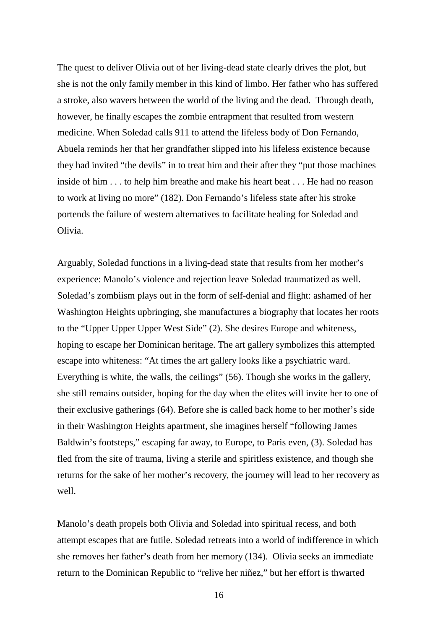The quest to deliver Olivia out of her living-dead state clearly drives the plot, but she is not the only family member in this kind of limbo. Her father who has suffered a stroke, also wavers between the world of the living and the dead. Through death, however, he finally escapes the zombie entrapment that resulted from western medicine. When Soledad calls 911 to attend the lifeless body of Don Fernando, Abuela reminds her that her grandfather slipped into his lifeless existence because they had invited "the devils" in to treat him and their after they "put those machines inside of him . . . to help him breathe and make his heart beat . . . He had no reason to work at living no more" (182). Don Fernando's lifeless state after his stroke portends the failure of western alternatives to facilitate healing for Soledad and Olivia.

Arguably, Soledad functions in a living-dead state that results from her mother's experience: Manolo's violence and rejection leave Soledad traumatized as well. Soledad's zombiism plays out in the form of self-denial and flight: ashamed of her Washington Heights upbringing, she manufactures a biography that locates her roots to the "Upper Upper Upper West Side" (2). She desires Europe and whiteness, hoping to escape her Dominican heritage. The art gallery symbolizes this attempted escape into whiteness: "At times the art gallery looks like a psychiatric ward. Everything is white, the walls, the ceilings" (56). Though she works in the gallery, she still remains outsider, hoping for the day when the elites will invite her to one of their exclusive gatherings (64). Before she is called back home to her mother's side in their Washington Heights apartment, she imagines herself "following James Baldwin's footsteps," escaping far away, to Europe, to Paris even, (3). Soledad has fled from the site of trauma, living a sterile and spiritless existence, and though she returns for the sake of her mother's recovery, the journey will lead to her recovery as well.

Manolo's death propels both Olivia and Soledad into spiritual recess, and both attempt escapes that are futile. Soledad retreats into a world of indifference in which she removes her father's death from her memory (134). Olivia seeks an immediate return to the Dominican Republic to "relive her niñez," but her effort is thwarted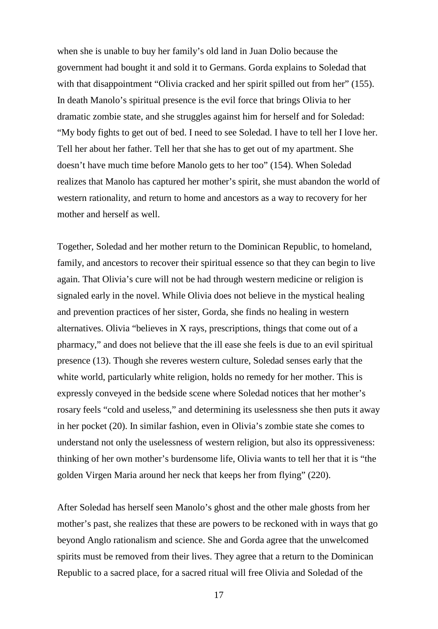when she is unable to buy her family's old land in Juan Dolio because the government had bought it and sold it to Germans. Gorda explains to Soledad that with that disappointment "Olivia cracked and her spirit spilled out from her" (155). In death Manolo's spiritual presence is the evil force that brings Olivia to her dramatic zombie state, and she struggles against him for herself and for Soledad: "My body fights to get out of bed. I need to see Soledad. I have to tell her I love her. Tell her about her father. Tell her that she has to get out of my apartment. She doesn't have much time before Manolo gets to her too" (154). When Soledad realizes that Manolo has captured her mother's spirit, she must abandon the world of western rationality, and return to home and ancestors as a way to recovery for her mother and herself as well.

Together, Soledad and her mother return to the Dominican Republic, to homeland, family, and ancestors to recover their spiritual essence so that they can begin to live again. That Olivia's cure will not be had through western medicine or religion is signaled early in the novel. While Olivia does not believe in the mystical healing and prevention practices of her sister, Gorda, she finds no healing in western alternatives. Olivia "believes in X rays, prescriptions, things that come out of a pharmacy," and does not believe that the ill ease she feels is due to an evil spiritual presence (13). Though she reveres western culture, Soledad senses early that the white world, particularly white religion, holds no remedy for her mother. This is expressly conveyed in the bedside scene where Soledad notices that her mother's rosary feels "cold and useless," and determining its uselessness she then puts it away in her pocket (20). In similar fashion, even in Olivia's zombie state she comes to understand not only the uselessness of western religion, but also its oppressiveness: thinking of her own mother's burdensome life, Olivia wants to tell her that it is "the golden Virgen Maria around her neck that keeps her from flying" (220).

After Soledad has herself seen Manolo's ghost and the other male ghosts from her mother's past, she realizes that these are powers to be reckoned with in ways that go beyond Anglo rationalism and science. She and Gorda agree that the unwelcomed spirits must be removed from their lives. They agree that a return to the Dominican Republic to a sacred place, for a sacred ritual will free Olivia and Soledad of the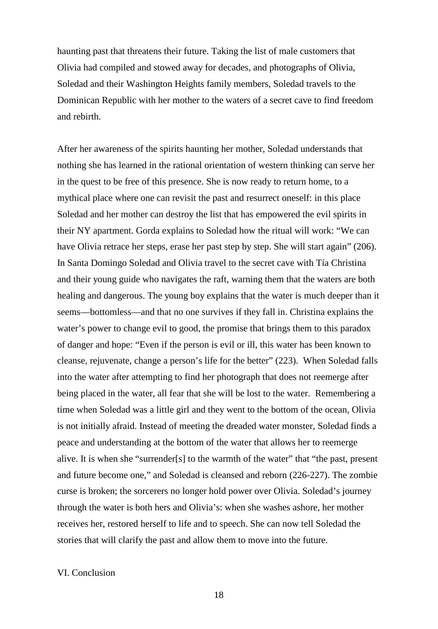haunting past that threatens their future. Taking the list of male customers that Olivia had compiled and stowed away for decades, and photographs of Olivia, Soledad and their Washington Heights family members, Soledad travels to the Dominican Republic with her mother to the waters of a secret cave to find freedom and rebirth.

After her awareness of the spirits haunting her mother, Soledad understands that nothing she has learned in the rational orientation of western thinking can serve her in the quest to be free of this presence. She is now ready to return home, to a mythical place where one can revisit the past and resurrect oneself: in this place Soledad and her mother can destroy the list that has empowered the evil spirits in their NY apartment. Gorda explains to Soledad how the ritual will work: "We can have Olivia retrace her steps, erase her past step by step. She will start again" (206). In Santa Domingo Soledad and Olivia travel to the secret cave with Tía Christina and their young guide who navigates the raft, warning them that the waters are both healing and dangerous. The young boy explains that the water is much deeper than it seems—bottomless—and that no one survives if they fall in. Christina explains the water's power to change evil to good, the promise that brings them to this paradox of danger and hope: "Even if the person is evil or ill, this water has been known to cleanse, rejuvenate, change a person's life for the better" (223). When Soledad falls into the water after attempting to find her photograph that does not reemerge after being placed in the water, all fear that she will be lost to the water. Remembering a time when Soledad was a little girl and they went to the bottom of the ocean, Olivia is not initially afraid. Instead of meeting the dreaded water monster, Soledad finds a peace and understanding at the bottom of the water that allows her to reemerge alive. It is when she "surrender[s] to the warmth of the water" that "the past, present and future become one," and Soledad is cleansed and reborn (226-227). The zombie curse is broken; the sorcerers no longer hold power over Olivia. Soledad's journey through the water is both hers and Olivia's: when she washes ashore, her mother receives her, restored herself to life and to speech. She can now tell Soledad the stories that will clarify the past and allow them to move into the future.

## VI. Conclusion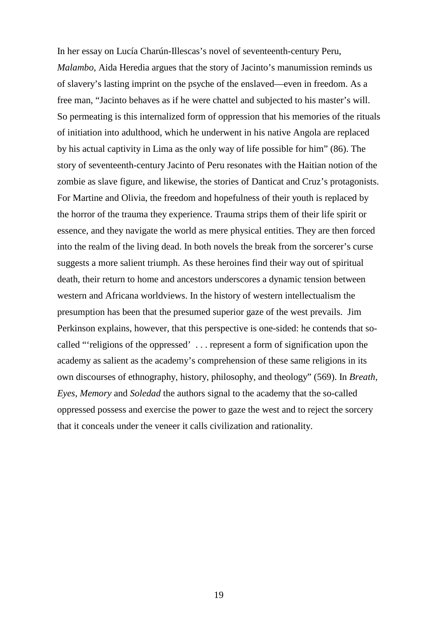In her essay on Lucía Charún-Illescas's novel of seventeenth-century Peru, *Malambo*, Aida Heredia argues that the story of Jacinto's manumission reminds us of slavery's lasting imprint on the psyche of the enslaved—even in freedom. As a free man, "Jacinto behaves as if he were chattel and subjected to his master's will. So permeating is this internalized form of oppression that his memories of the rituals of initiation into adulthood, which he underwent in his native Angola are replaced by his actual captivity in Lima as the only way of life possible for him" (86). The story of seventeenth-century Jacinto of Peru resonates with the Haitian notion of the zombie as slave figure, and likewise, the stories of Danticat and Cruz's protagonists. For Martine and Olivia, the freedom and hopefulness of their youth is replaced by the horror of the trauma they experience. Trauma strips them of their life spirit or essence, and they navigate the world as mere physical entities. They are then forced into the realm of the living dead. In both novels the break from the sorcerer's curse suggests a more salient triumph. As these heroines find their way out of spiritual death, their return to home and ancestors underscores a dynamic tension between western and Africana worldviews. In the history of western intellectualism the presumption has been that the presumed superior gaze of the west prevails. Jim Perkinson explains, however, that this perspective is one-sided: he contends that socalled "'religions of the oppressed' . . . represent a form of signification upon the academy as salient as the academy's comprehension of these same religions in its own discourses of ethnography, history, philosophy, and theology" (569). In *Breath, Eyes, Memory* and *Soledad* the authors signal to the academy that the so-called oppressed possess and exercise the power to gaze the west and to reject the sorcery that it conceals under the veneer it calls civilization and rationality.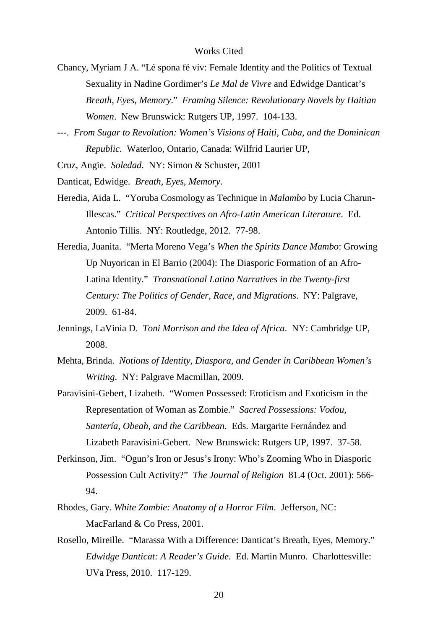- Chancy, Myriam J A. "Lé spona fé viv: Female Identity and the Politics of Textual Sexuality in Nadine Gordimer's *Le Mal de Vivre* and Edwidge Danticat's *Breath, Eyes, Memory*." *Framing Silence: Revolutionary Novels by Haitian Women*. New Brunswick: Rutgers UP, 1997. 104-133.
- ---. *From Sugar to Revolution: Women's Visions of Haiti, Cuba, and the Dominican Republic*. Waterloo, Ontario, Canada: Wilfrid Laurier UP,

Cruz, Angie. *Soledad*. NY: Simon & Schuster, 2001

- Danticat, Edwidge. *Breath, Eyes, Memory*.
- Heredia, Aida L. "Yoruba Cosmology as Technique in *Malambo* by Lucia Charun-Illescas." *Critical Perspectives on Afro-Latin American Literature*. Ed. Antonio Tillis. NY: Routledge, 2012. 77-98.
- Heredia, Juanita. "Merta Moreno Vega's *When the Spirits Dance Mambo*: Growing Up Nuyorican in El Barrio (2004): The Diasporic Formation of an Afro-Latina Identity." *Transnational Latino Narratives in the Twenty-first Century: The Politics of Gender, Race, and Migrations*. NY: Palgrave, 2009. 61-84.
- Jennings, LaVinia D. *Toni Morrison and the Idea of Africa*. NY: Cambridge UP, 2008.
- Mehta, Brinda. *Notions of Identity, Diaspora, and Gender in Caribbean Women's Writing*. NY: Palgrave Macmillan, 2009.
- Paravisini-Gebert, Lizabeth. "Women Possessed: Eroticism and Exoticism in the Representation of Woman as Zombie." *Sacred Possessions: Vodou, Santería, Obeah, and the Caribbean*. Eds. Margarite Fernández and Lizabeth Paravisini-Gebert. New Brunswick: Rutgers UP, 1997. 37-58.
- Perkinson, Jim. "Ogun's Iron or Jesus's Irony: Who's Zooming Who in Diasporic Possession Cult Activity?" *The Journal of Religion* 81.4 (Oct. 2001): 566- 94.
- Rhodes, Gary. *White Zombie: Anatomy of a Horror Film*. Jefferson, NC: MacFarland & Co Press, 2001.
- Rosello, Mireille. "Marassa With a Difference: Danticat's Breath, Eyes, Memory." *Edwidge Danticat: A Reader's Guide*. Ed. Martin Munro. Charlottesville: UVa Press, 2010. 117-129.